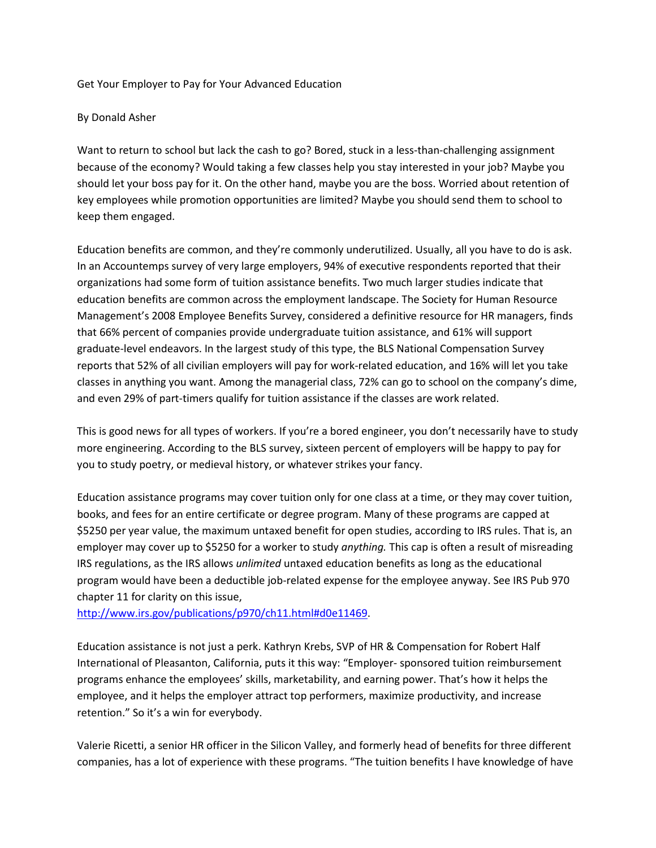## Get Your Employer to Pay for Your Advanced Education

## By Donald Asher

Want to return to school but lack the cash to go? Bored, stuck in a less-than-challenging assignment because of the economy? Would taking a few classes help you stay interested in your job? Maybe you should let your boss pay for it. On the other hand, maybe you are the boss. Worried about retention of key employees while promotion opportunities are limited? Maybe you should send them to school to keep them engaged.

Education benefits are common, and they're commonly underutilized. Usually, all you have to do is ask. In an Accountemps survey of very large employers, 94% of executive respondents reported that their organizations had some form of tuition assistance benefits. Two much larger studies indicate that education benefits are common across the employment landscape. The Society for Human Resource Management's 2008 Employee Benefits Survey, considered a definitive resource for HR managers, finds that 66% percent of companies provide undergraduate tuition assistance, and 61% will support graduate-level endeavors. In the largest study of this type, the BLS National Compensation Survey reports that 52% of all civilian employers will pay for work-related education, and 16% will let you take classes in anything you want. Among the managerial class, 72% can go to school on the company's dime, and even 29% of part-timers qualify for tuition assistance if the classes are work related.

This is good news for all types of workers. If you're a bored engineer, you don't necessarily have to study more engineering. According to the BLS survey, sixteen percent of employers will be happy to pay for you to study poetry, or medieval history, or whatever strikes your fancy.

Education assistance programs may cover tuition only for one class at a time, or they may cover tuition, books, and fees for an entire certificate or degree program. Many of these programs are capped at \$5250 per year value, the maximum untaxed benefit for open studies, according to IRS rules. That is, an employer may cover up to \$5250 for a worker to study *anything.* This cap is often a result of misreading IRS regulations, as the IRS allows *unlimited* untaxed education benefits as long as the educational program would have been a deductible job-related expense for the employee anyway. See IRS Pub 970 chapter 11 for clarity on this issue,

[http://www.irs.gov/publications/p970/ch11.html#d0e11469.](http://www.irs.gov/publications/p970/ch11.html#d0e11469)

Education assistance is not just a perk. Kathryn Krebs, SVP of HR & Compensation for Robert Half International of Pleasanton, California, puts it this way: "Employer- sponsored tuition reimbursement programs enhance the employees' skills, marketability, and earning power. That's how it helps the employee, and it helps the employer attract top performers, maximize productivity, and increase retention." So it's a win for everybody.

Valerie Ricetti, a senior HR officer in the Silicon Valley, and formerly head of benefits for three different companies, has a lot of experience with these programs. "The tuition benefits I have knowledge of have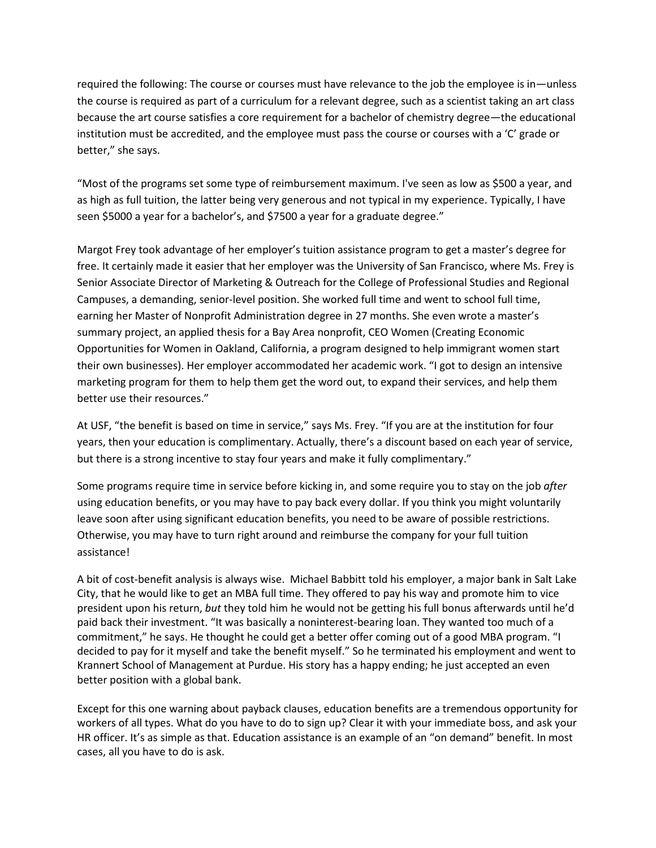required the following: The course or courses must have relevance to the job the employee is in—unless the course is required as part of a curriculum for a relevant degree, such as a scientist taking an art class because the art course satisfies a core requirement for a bachelor of chemistry degree—the educational institution must be accredited, and the employee must pass the course or courses with a 'C' grade or better," she says.

"Most of the programs set some type of reimbursement maximum. I've seen as low as \$500 a year, and as high as full tuition, the latter being very generous and not typical in my experience. Typically, I have seen \$5000 a year for a bachelor's, and \$7500 a year for a graduate degree."

Margot Frey took advantage of her employer's tuition assistance program to get a master's degree for free. It certainly made it easier that her employer was the University of San Francisco, where Ms. Frey is Senior Associate Director of Marketing & Outreach for the College of Professional Studies and Regional Campuses, a demanding, senior-level position. She worked full time and went to school full time, earning her Master of Nonprofit Administration degree in 27 months. She even wrote a master's summary project, an applied thesis for a Bay Area nonprofit, CEO Women (Creating Economic Opportunities for Women in Oakland, California, a program designed to help immigrant women start their own businesses). Her employer accommodated her academic work. "I got to design an intensive marketing program for them to help them get the word out, to expand their services, and help them better use their resources."

At USF, "the benefit is based on time in service," says Ms. Frey. "If you are at the institution for four years, then your education is complimentary. Actually, there's a discount based on each year of service, but there is a strong incentive to stay four years and make it fully complimentary."

Some programs require time in service before kicking in, and some require you to stay on the job *after*  using education benefits, or you may have to pay back every dollar. If you think you might voluntarily leave soon after using significant education benefits, you need to be aware of possible restrictions. Otherwise, you may have to turn right around and reimburse the company for your full tuition assistance!

A bit of cost-benefit analysis is always wise. Michael Babbitt told his employer, a major bank in Salt Lake City, that he would like to get an MBA full time. They offered to pay his way and promote him to vice president upon his return, *but* they told him he would not be getting his full bonus afterwards until he'd paid back their investment. "It was basically a noninterest-bearing loan. They wanted too much of a commitment," he says. He thought he could get a better offer coming out of a good MBA program. "I decided to pay for it myself and take the benefit myself." So he terminated his employment and went to Krannert School of Management at Purdue. His story has a happy ending; he just accepted an even better position with a global bank.

Except for this one warning about payback clauses, education benefits are a tremendous opportunity for workers of all types. What do you have to do to sign up? Clear it with your immediate boss, and ask your HR officer. It's as simple as that. Education assistance is an example of an "on demand" benefit. In most cases, all you have to do is ask.